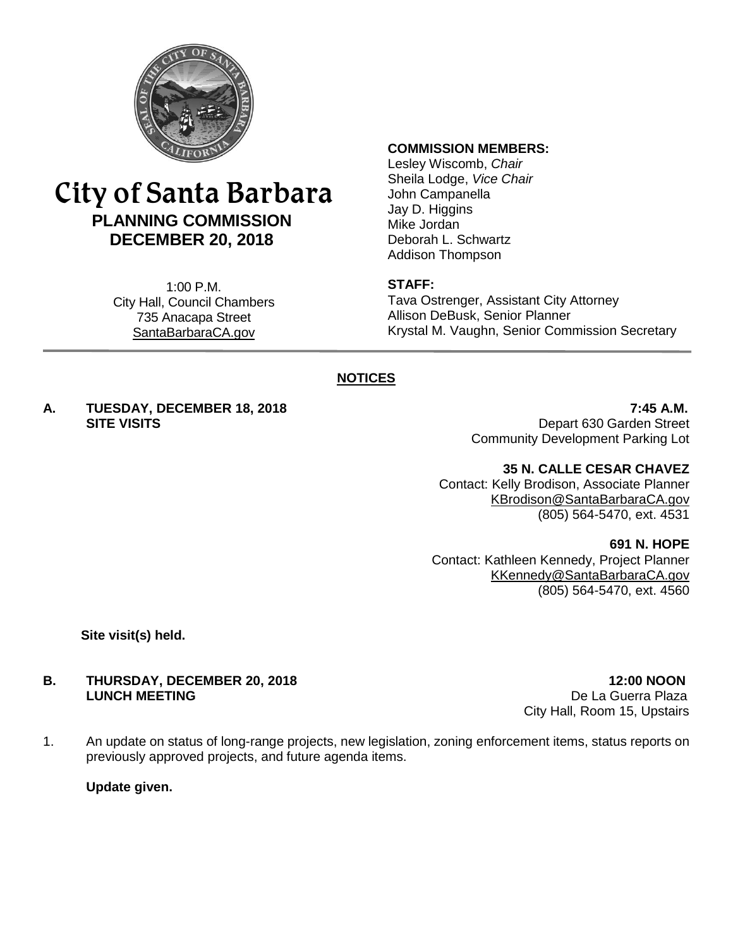

# City of Santa Barbara **PLANNING COMMISSION DECEMBER 20, 2018**

1:00 P.M. City Hall, Council Chambers 735 Anacapa Street SantaBarbaraCA.gov

#### **COMMISSION MEMBERS:**

Lesley Wiscomb, *Chair* Sheila Lodge, *Vice Chair* John Campanella Jay D. Higgins Mike Jordan Deborah L. Schwartz Addison Thompson

#### **STAFF:**

Tava Ostrenger, Assistant City Attorney Allison DeBusk, Senior Planner Krystal M. Vaughn, Senior Commission Secretary

## **NOTICES**

**A. TUESDAY, DECEMBER 18, 2018 7:45 A.M.**

**SITE VISITS** Depart 630 Garden Street Community Development Parking Lot

#### **35 N. CALLE CESAR CHAVEZ**

Contact: Kelly Brodison, Associate Planner [KBrodison@SantaBarbaraCA.gov](mailto:KBrodison@SantaBarbaraCA.gov) (805) 564-5470, ext. 4531

#### **691 N. HOPE**

Contact: Kathleen Kennedy, Project Planner [KKennedy@SantaBarbaraCA.gov](mailto:KKennedy@SantaBarbaraCA.gov) (805) 564-5470, ext. 4560

**Site visit(s) held.**

#### **B. THURSDAY, DECEMBER 20, 2018 12:00 NOON LUNCH MEETING** De La Guerra Plaza

City Hall, Room 15, Upstairs

1. An update on status of long-range projects, new legislation, zoning enforcement items, status reports on previously approved projects, and future agenda items.

**Update given.**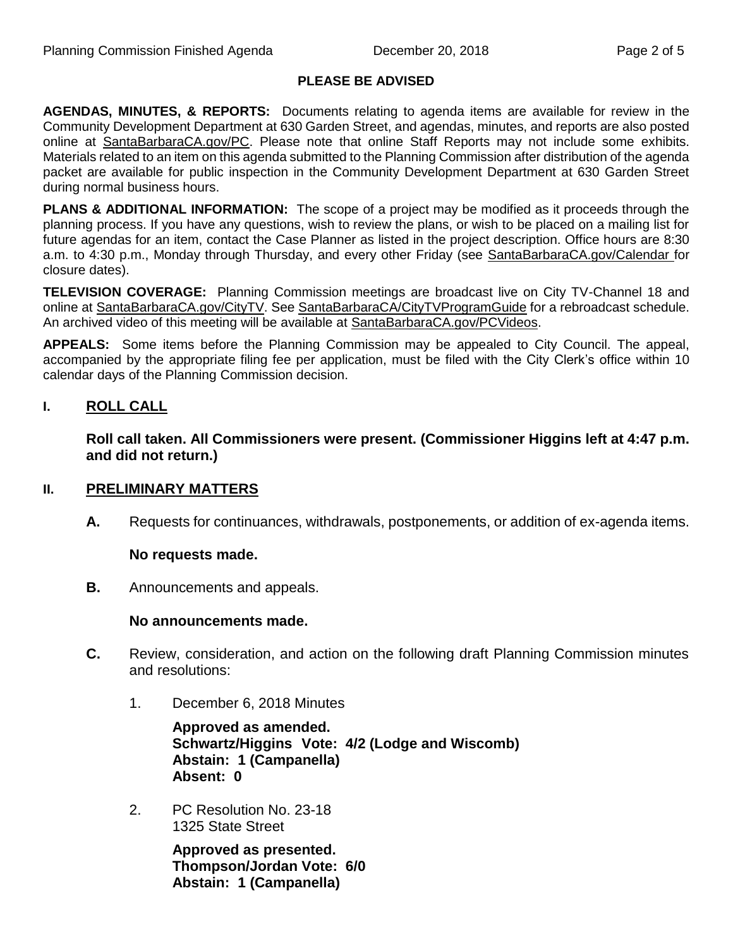#### **PLEASE BE ADVISED**

**AGENDAS, MINUTES, & REPORTS:** Documents relating to agenda items are available for review in the Community Development Department at 630 Garden Street, and agendas, minutes, and reports are also posted online at [SantaBarbaraCA.gov/PC.](http://www.santabarbaraca.gov/PC) Please note that online Staff Reports may not include some exhibits. Materials related to an item on this agenda submitted to the Planning Commission after distribution of the agenda packet are available for public inspection in the Community Development Department at 630 Garden Street during normal business hours.

**PLANS & ADDITIONAL INFORMATION:** The scope of a project may be modified as it proceeds through the planning process. If you have any questions, wish to review the plans, or wish to be placed on a mailing list for future agendas for an item, contact the Case Planner as listed in the project description. Office hours are 8:30 a.m. to 4:30 p.m., Monday through Thursday, and every other Friday (see [SantaBarbaraCA.gov/Calendar](http://www.santabarbaraca.gov/cals/default.asp) for closure dates).

**TELEVISION COVERAGE:** Planning Commission meetings are broadcast live on City TV-Channel 18 and online at [SantaBarbaraCA.gov/CityTV.](http://www.santabarbaraca.gov/CityTV) See [SantaBarbaraCA/CityTVProgramGuide](http://www.santabarbaraca.gov/gov/depts/cityadmin/programming.asp) for a rebroadcast schedule. An archived video of this meeting will be available at [SantaBarbaraCA.gov/PCVideos.](http://www.santabarbaraca.gov/PCVideos)

**APPEALS:** Some items before the Planning Commission may be appealed to City Council. The appeal, accompanied by the appropriate filing fee per application, must be filed with the City Clerk's office within 10 calendar days of the Planning Commission decision.

## **I. ROLL CALL**

**Roll call taken. All Commissioners were present. (Commissioner Higgins left at 4:47 p.m. and did not return.)**

#### **II. PRELIMINARY MATTERS**

**A.** Requests for continuances, withdrawals, postponements, or addition of ex-agenda items.

#### **No requests made.**

**B.** Announcements and appeals.

#### **No announcements made.**

- **C.** Review, consideration, and action on the following draft Planning Commission minutes and resolutions:
	- 1. December 6, 2018 Minutes

**Approved as amended. Schwartz/Higgins Vote: 4/2 (Lodge and Wiscomb) Abstain: 1 (Campanella) Absent: 0** 

2. PC Resolution No. 23-18 1325 State Street

> **Approved as presented. Thompson/Jordan Vote: 6/0 Abstain: 1 (Campanella)**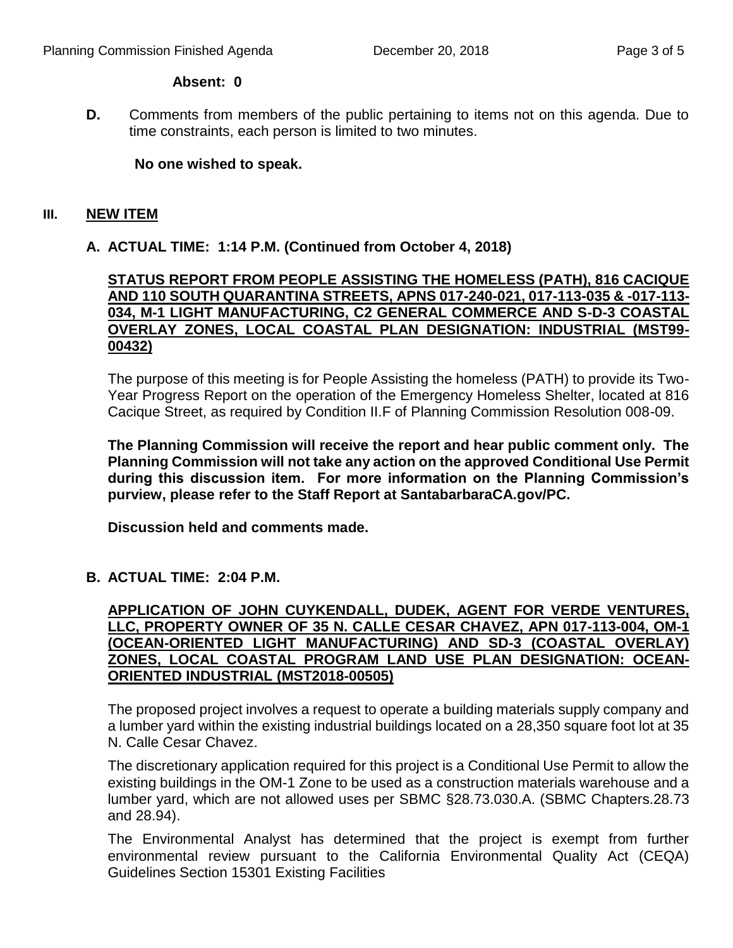#### **Absent: 0**

**D.** Comments from members of the public pertaining to items not on this agenda. Due to time constraints, each person is limited to two minutes.

## **No one wished to speak.**

#### **III. NEW ITEM**

## **A. ACTUAL TIME: 1:14 P.M. (Continued from October 4, 2018)**

## **STATUS REPORT FROM PEOPLE ASSISTING THE HOMELESS (PATH), 816 CACIQUE AND 110 SOUTH QUARANTINA STREETS, APNS 017-240-021, 017-113-035 & -017-113- 034, M-1 LIGHT MANUFACTURING, C2 GENERAL COMMERCE AND S-D-3 COASTAL OVERLAY ZONES, LOCAL COASTAL PLAN DESIGNATION: INDUSTRIAL (MST99- 00432)**

The purpose of this meeting is for People Assisting the homeless (PATH) to provide its Two-Year Progress Report on the operation of the Emergency Homeless Shelter, located at 816 Cacique Street, as required by Condition II.F of Planning Commission Resolution 008-09.

**The Planning Commission will receive the report and hear public comment only. The Planning Commission will not take any action on the approved Conditional Use Permit during this discussion item. For more information on the Planning Commission's purview, please refer to the Staff Report at SantabarbaraCA.gov/PC.**

**Discussion held and comments made.**

## **B. ACTUAL TIME: 2:04 P.M.**

# **APPLICATION OF JOHN CUYKENDALL, DUDEK, AGENT FOR VERDE VENTURES, LLC, PROPERTY OWNER OF 35 N. CALLE CESAR CHAVEZ, APN 017-113-004, OM-1 (OCEAN-ORIENTED LIGHT MANUFACTURING) AND SD-3 (COASTAL OVERLAY) ZONES, LOCAL COASTAL PROGRAM LAND USE PLAN DESIGNATION: OCEAN-ORIENTED INDUSTRIAL (MST2018-00505)**

The proposed project involves a request to operate a building materials supply company and a lumber yard within the existing industrial buildings located on a 28,350 square foot lot at 35 N. Calle Cesar Chavez.

The discretionary application required for this project is a Conditional Use Permit to allow the existing buildings in the OM-1 Zone to be used as a construction materials warehouse and a lumber yard, which are not allowed uses per SBMC §28.73.030.A. (SBMC Chapters.28.73 and 28.94).

The Environmental Analyst has determined that the project is exempt from further environmental review pursuant to the California Environmental Quality Act (CEQA) Guidelines Section 15301 Existing Facilities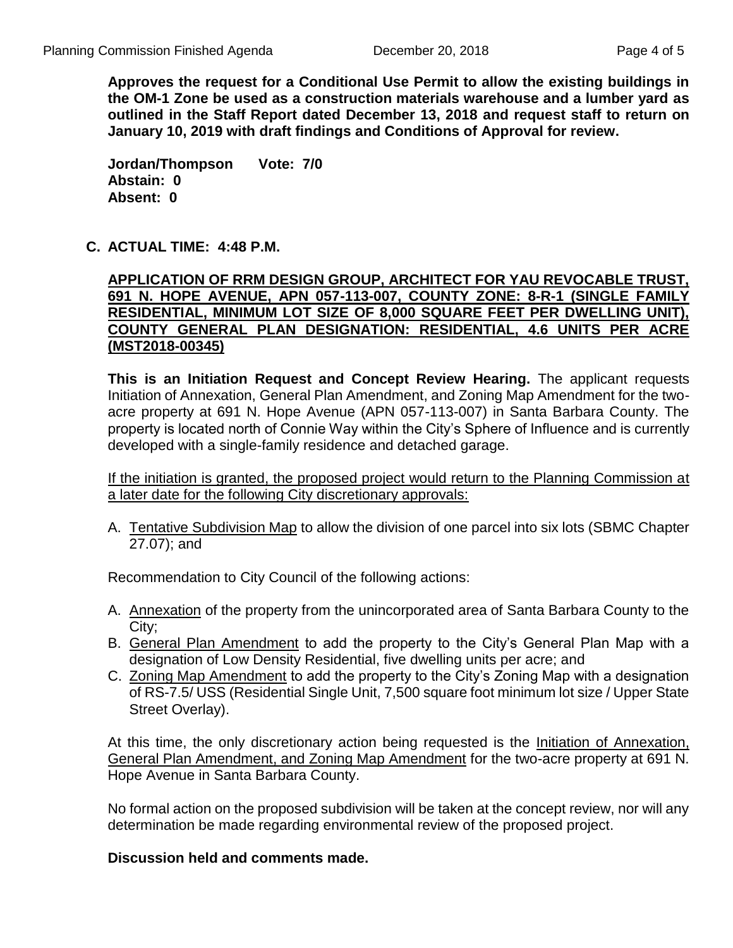**Approves the request for a Conditional Use Permit to allow the existing buildings in the OM-1 Zone be used as a construction materials warehouse and a lumber yard as outlined in the Staff Report dated December 13, 2018 and request staff to return on January 10, 2019 with draft findings and Conditions of Approval for review.**

**Jordan/Thompson Vote: 7/0 Abstain: 0 Absent: 0** 

## **C. ACTUAL TIME: 4:48 P.M.**

## **APPLICATION OF RRM DESIGN GROUP, ARCHITECT FOR YAU REVOCABLE TRUST, 691 N. HOPE AVENUE, APN 057-113-007, COUNTY ZONE: 8-R-1 (SINGLE FAMILY RESIDENTIAL, MINIMUM LOT SIZE OF 8,000 SQUARE FEET PER DWELLING UNIT), COUNTY GENERAL PLAN DESIGNATION: RESIDENTIAL, 4.6 UNITS PER ACRE (MST2018-00345)**

**This is an Initiation Request and Concept Review Hearing.** The applicant requests Initiation of Annexation, General Plan Amendment, and Zoning Map Amendment for the twoacre property at 691 N. Hope Avenue (APN 057-113-007) in Santa Barbara County. The property is located north of Connie Way within the City's Sphere of Influence and is currently developed with a single-family residence and detached garage.

If the initiation is granted, the proposed project would return to the Planning Commission at a later date for the following City discretionary approvals:

A. Tentative Subdivision Map to allow the division of one parcel into six lots (SBMC Chapter 27.07); and

Recommendation to City Council of the following actions:

- A. Annexation of the property from the unincorporated area of Santa Barbara County to the City;
- B. General Plan Amendment to add the property to the City's General Plan Map with a designation of Low Density Residential, five dwelling units per acre; and
- C. Zoning Map Amendment to add the property to the City's Zoning Map with a designation of RS-7.5/ USS (Residential Single Unit, 7,500 square foot minimum lot size / Upper State Street Overlay).

At this time, the only discretionary action being requested is the Initiation of Annexation, General Plan Amendment, and Zoning Map Amendment for the two-acre property at 691 N. Hope Avenue in Santa Barbara County.

No formal action on the proposed subdivision will be taken at the concept review, nor will any determination be made regarding environmental review of the proposed project.

#### **Discussion held and comments made.**